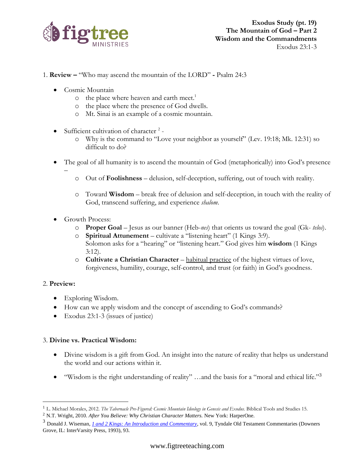

- 1. **Review –** "Who may ascend the mountain of the LORD" **-** Psalm 24:3
	- Cosmic Mountain
		- o the place where heaven and earth meet.<sup>1</sup>
		- o the place where the presence of God dwells.
		- o Mt. Sinai is an example of a cosmic mountain.
	- Sufficient cultivation of character  $2$ 
		- o Why is the command to "Love your neighbor as yourself" (Lev. 19:18; Mk. 12:31) so difficult to do?
	- The goal of all humanity is to ascend the mountain of God (metaphorically) into God's presence
		- o Out of **Foolishness** delusion, self-deception, suffering, out of touch with reality.
		- o Toward **Wisdom** break free of delusion and self-deception, in touch with the reality of God, transcend suffering, and experience *shalom*.
	- Growth Process:

–

- o **Proper Goal** Jesus as our banner (Heb-*nes*) that orients us toward the goal (Gk- *telos*).
- o **Spiritual Attunement** cultivate a "listening heart" (1 Kings 3:9). Solomon asks for a "hearing" or "listening heart." God gives him **wisdom** (1 Kings 3:12).
- o **Cultivate a Christian Character** habitual practice of the highest virtues of love, forgiveness, humility, courage, self-control, and trust (or faith) in God's goodness.

## 2. **Preview:**

- Exploring Wisdom.
- How can we apply wisdom and the concept of ascending to God's commands?
- Exodus 23:1-3 (issues of justice)

## 3. **Divine vs. Practical Wisdom:**

- Divine wisdom is a gift from God. An insight into the nature of reality that helps us understand the world and our actions within it.
- "Wisdom is the right understanding of reality" ...and the basis for a "moral and ethical life."<sup>3</sup>

<sup>&</sup>lt;sup>1</sup> L. Michael Morales, 2012. *The Tabernacle Pre-Figured: Cosmic Mountain Ideology in Genesis and Exodus. Biblical Tools and Studies 15.* 

<sup>2</sup> N.T. Wright, 2010. *After You Believe: Why Christian Character Matters.* New York: HarperOne.

<sup>3</sup> Donald J. Wiseman, *[1 and 2 Kings: An Introduction and Commentary](https://ref.ly/logosres/totc09kius?ref=Page.p+93&off=554&ctx=12%3a13%3b+Prov.+3%3a19).%0a~Wisdom+is+the+right+)*, vol. 9, Tyndale Old Testament Commentaries (Downers Grove, IL: InterVarsity Press, 1993), 93.